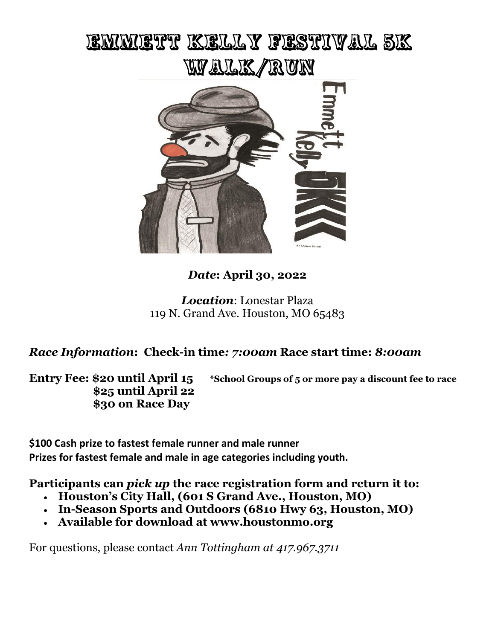## EMMETT KELLY FESTIVAL SK WY ALLE / RUN



## *Date***: April 30, 2022**

*Location*: Lonestar Plaza 119 N. Grand Ave. Houston, MO 65483

## *Race Information***: Check-in time***: 7:00am* **Race start time:** *8:00am*

**\$25 until April 22 \$30 on Race Day**

**Entry Fee: \$20 until April 15 \*School Groups of 5 or more pay a discount fee to race**

**\$100 Cash prize to fastest female runner and male runner Prizes for fastest female and male in age categories including youth.**

**Participants can** *pick up* **the race registration form and return it to:**

- **Houston's City Hall, (601 S Grand Ave., Houston, MO)**
- **In-Season Sports and Outdoors (6810 Hwy 63, Houston, MO)**
- **Available for download at www.houstonmo.org**

For questions, please contact *Ann Tottingham at 417.967.3711*